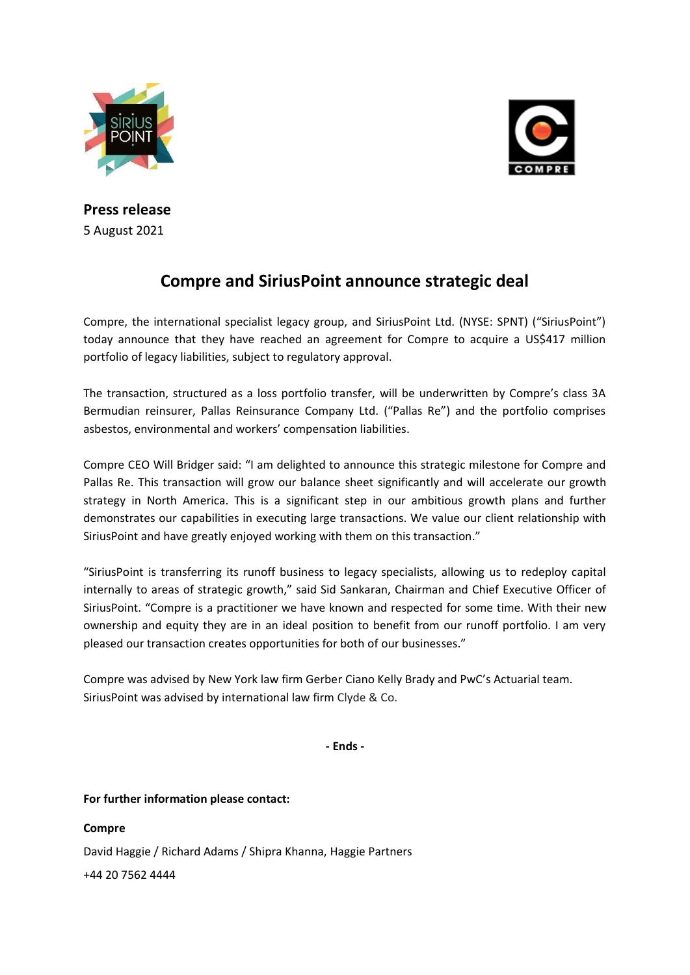



**Press release**  5 August 2021

# **Compre and SiriusPoint announce strategic deal**

Compre, the international specialist legacy group, and SiriusPoint Ltd. (NYSE: SPNT) ("SiriusPoint") today announce that they have reached an agreement for Compre to acquire a US\$417 million portfolio of legacy liabilities, subject to regulatory approval.

The transaction, structured as a loss portfolio transfer, will be underwritten by Compre's class 3A Bermudian reinsurer, Pallas Reinsurance Company Ltd. ("Pallas Re") and the portfolio comprises asbestos, environmental and workers' compensation liabilities.

Compre CEO Will Bridger said: "I am delighted to announce this strategic milestone for Compre and Pallas Re. This transaction will grow our balance sheet significantly and will accelerate our growth strategy in North America. This is a significant step in our ambitious growth plans and further demonstrates our capabilities in executing large transactions. We value our client relationship with SiriusPoint and have greatly enjoyed working with them on this transaction."

"SiriusPoint is transferring its runoff business to legacy specialists, allowing us to redeploy capital internally to areas of strategic growth," said Sid Sankaran, Chairman and Chief Executive Officer of SiriusPoint. "Compre is a practitioner we have known and respected for some time. With their new ownership and equity they are in an ideal position to benefit from our runoff portfolio. I am very pleased our transaction creates opportunities for both of our businesses."

Compre was advised by New York law firm Gerber Ciano Kelly Brady and PwC's Actuarial team. SiriusPoint was advised by international law firm Clyde & Co.

**- Ends -**

**For further information please contact:**

## **Compre**

David Haggie / Richard Adams / Shipra Khanna, Haggie Partners +44 20 7562 4444